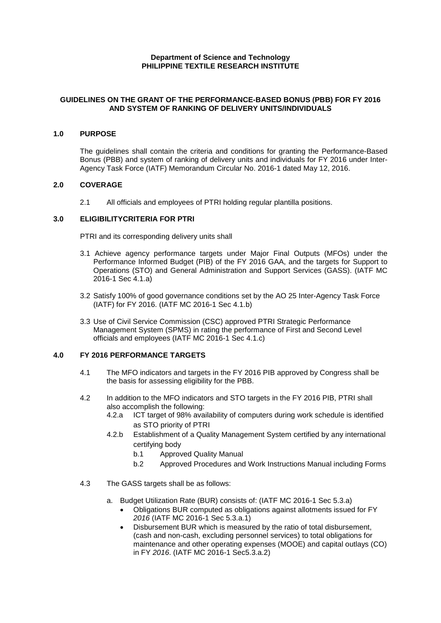# **Department of Science and Technology PHILIPPINE TEXTILE RESEARCH INSTITUTE**

## **GUIDELINES ON THE GRANT OF THE PERFORMANCE-BASED BONUS (PBB) FOR FY 2016 AND SYSTEM OF RANKING OF DELIVERY UNITS/INDIVIDUALS**

# **1.0 PURPOSE**

The guidelines shall contain the criteria and conditions for granting the Performance-Based Bonus (PBB) and system of ranking of delivery units and individuals for FY 2016 under Inter-Agency Task Force (IATF) Memorandum Circular No. 2016-1 dated May 12, 2016.

#### **2.0 COVERAGE**

2.1 All officials and employees of PTRI holding regular plantilla positions.

### **3.0 ELIGIBILITYCRITERIA FOR PTRI**

PTRI and its corresponding delivery units shall

- 3.1 Achieve agency performance targets under Major Final Outputs (MFOs) under the Performance Informed Budget (PIB) of the FY 2016 GAA, and the targets for Support to Operations (STO) and General Administration and Support Services (GASS). (IATF MC 2016-1 Sec 4.1.a)
- 3.2 Satisfy 100% of good governance conditions set by the AO 25 Inter-Agency Task Force (IATF) for FY 2016. (IATF MC 2016-1 Sec 4.1.b)
- 3.3 Use of Civil Service Commission (CSC) approved PTRI Strategic Performance Management System (SPMS) in rating the performance of First and Second Level officials and employees (IATF MC 2016-1 Sec 4.1.c)

# **4.0 FY 2016 PERFORMANCE TARGETS**

- 4.1 The MFO indicators and targets in the FY 2016 PIB approved by Congress shall be the basis for assessing eligibility for the PBB.
- 4.2 In addition to the MFO indicators and STO targets in the FY 2016 PIB, PTRI shall also accomplish the following:
	- 4.2.a ICT target of 98% availability of computers during work schedule is identified as STO priority of PTRI
	- 4.2.b Establishment of a Quality Management System certified by any international certifying body
		- b.1 Approved Quality Manual
		- b.2 Approved Procedures and Work Instructions Manual including Forms
- 4.3 The GASS targets shall be as follows:
	- a. Budget Utilization Rate (BUR) consists of: (IATF MC 2016-1 Sec 5.3.a)
		- Obligations BUR computed as obligations against allotments issued for FY *2016* (IATF MC 2016-1 Sec 5.3.a.1)
		- Disbursement BUR which is measured by the ratio of total disbursement, (cash and non-cash, excluding personnel services) to total obligations for maintenance and other operating expenses (MOOE) and capital outlays (CO) in FY *2016*. (IATF MC 2016-1 Sec5.3.a.2)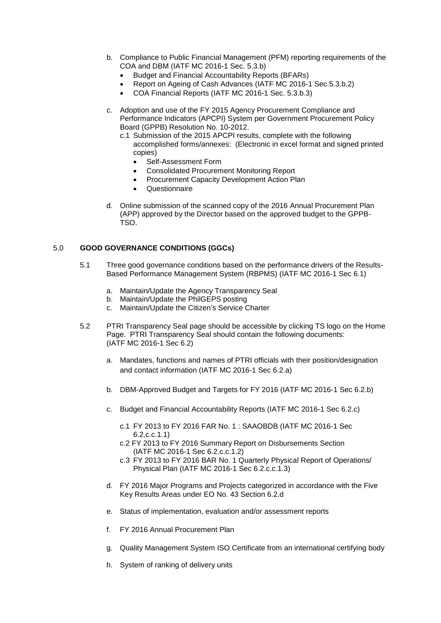- b. Compliance to Public Financial Management (PFM) reporting requirements of the COA and DBM (IATF MC 2016-1 Sec. 5.3.b)
	- Budget and Financial Accountability Reports (BFARs)
	- Report on Ageing of Cash Advances (IATF MC 2016-1 Sec.5.3.b.2)
	- COA Financial Reports (IATF MC 2016-1 Sec. 5.3.b.3)
- c. Adoption and use of the FY 2015 Agency Procurement Compliance and Performance Indicators (APCPI) System per Government Procurement Policy Board (GPPB) Resolution No. 10-2012.
	- c.1 Submission of the 2015 APCPI results, complete with the following accomplished forms/annexes: (Electronic in excel format and signed printed copies)
		- Self-Assessment Form
		- Consolidated Procurement Monitoring Report
		- Procurement Capacity Development Action Plan
		- **Questionnaire**
- d. Online submission of the scanned copy of the 2016 Annual Procurement Plan (APP) approved by the Director based on the approved budget to the GPPB-TSO.

# 5.0 **GOOD GOVERNANCE CONDITIONS (GGCs)**

- 5.1 Three good governance conditions based on the performance drivers of the Results-Based Performance Management System (RBPMS) (IATF MC 2016-1 Sec 6.1)
	- a. Maintain/Update the Agency Transparency Seal
	- b. Maintain/Update the PhilGEPS posting
	- c. Maintain/Update the Citizen's Service Charter
- 5.2 PTRI Transparency Seal page should be accessible by clicking TS logo on the Home Page. PTRI Transparency Seal should contain the following documents: (IATF MC 2016-1 Sec 6.2)
	- a. Mandates, functions and names of PTRI officials with their position/designation and contact information (IATF MC 2016-1 Sec 6.2.a)
	- b. DBM-Approved Budget and Targets for FY 2016 (IATF MC 2016-1 Sec 6.2.b)
	- c. Budget and Financial Accountability Reports (IATF MC 2016-1 Sec 6.2.c)
		- c.1 FY 2013 to FY 2016 FAR No. 1 : SAAOBDB (IATF MC 2016-1 Sec 6.2.c.c.1.1)
		- c.2 FY 2013 to FY 2016 Summary Report on Disbursements Section (IATF MC 2016-1 Sec 6.2.c.c.1.2)
		- c.3 FY 2013 to FY 2016 BAR No. 1 Quarterly Physical Report of Operations/ Physical Plan (IATF MC 2016-1 Sec 6.2.c.c.1.3)
	- d. FY 2016 Major Programs and Projects categorized in accordance with the Five Key Results Areas under EO No. 43 Section 6.2.d
	- e. Status of implementation, evaluation and/or assessment reports
	- f. FY 2016 Annual Procurement Plan
	- g. Quality Management System ISO Certificate from an international certifying body
	- h. System of ranking of delivery units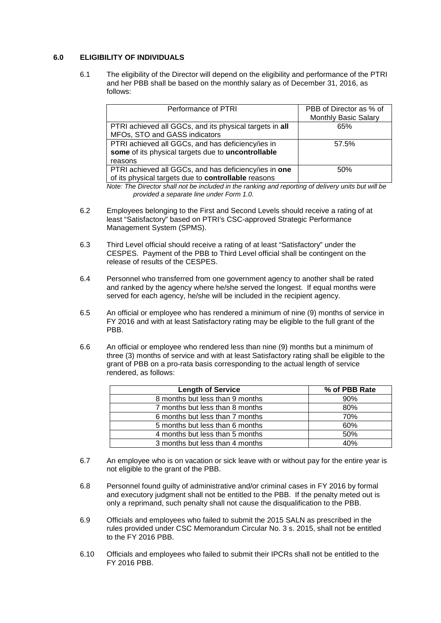# **6.0 ELIGIBILITY OF INDIVIDUALS**

6.1 The eligibility of the Director will depend on the eligibility and performance of the PTRI and her PBB shall be based on the monthly salary as of December 31, 2016, as follows:

| Performance of PTRI                                                                      | PBB of Director as % of<br><b>Monthly Basic Salary</b> |
|------------------------------------------------------------------------------------------|--------------------------------------------------------|
| PTRI achieved all GGCs, and its physical targets in all<br>MFOs, STO and GASS indicators | 65%                                                    |
|                                                                                          |                                                        |
| PTRI achieved all GGCs, and has deficiency/ies in                                        | 57.5%                                                  |
| some of its physical targets due to uncontrollable                                       |                                                        |
| reasons                                                                                  |                                                        |
| PTRI achieved all GGCs, and has deficiency/ies in one                                    | 50%                                                    |
| of its physical targets due to controllable reasons                                      |                                                        |

*Note: The Director shall not be included in the ranking and reporting of delivery units but will be provided a separate line under Form 1.0.*

- 6.2 Employees belonging to the First and Second Levels should receive a rating of at least "Satisfactory" based on PTRI's CSC-approved Strategic Performance Management System (SPMS).
- 6.3 Third Level official should receive a rating of at least "Satisfactory" under the CESPES. Payment of the PBB to Third Level official shall be contingent on the release of results of the CESPES.
- 6.4 Personnel who transferred from one government agency to another shall be rated and ranked by the agency where he/she served the longest. If equal months were served for each agency, he/she will be included in the recipient agency.
- 6.5 An official or employee who has rendered a minimum of nine (9) months of service in FY 2016 and with at least Satisfactory rating may be eligible to the full grant of the PBB.
- 6.6 An official or employee who rendered less than nine (9) months but a minimum of three (3) months of service and with at least Satisfactory rating shall be eligible to the grant of PBB on a pro-rata basis corresponding to the actual length of service rendered, as follows:

| <b>Length of Service</b>        | % of PBB Rate |
|---------------------------------|---------------|
| 8 months but less than 9 months | 90%           |
| 7 months but less than 8 months | 80%           |
| 6 months but less than 7 months | 70%           |
| 5 months but less than 6 months | 60%           |
| 4 months but less than 5 months | 50%           |
| 3 months but less than 4 months | 40%           |

- 6.7 An employee who is on vacation or sick leave with or without pay for the entire year is not eligible to the grant of the PBB.
- 6.8 Personnel found guilty of administrative and/or criminal cases in FY 2016 by formal and executory judgment shall not be entitled to the PBB. If the penalty meted out is only a reprimand, such penalty shall not cause the disqualification to the PBB.
- 6.9 Officials and employees who failed to submit the 2015 SALN as prescribed in the rules provided under CSC Memorandum Circular No. 3 s. 2015, shall not be entitled to the FY 2016 PBB.
- 6.10 Officials and employees who failed to submit their IPCRs shall not be entitled to the FY 2016 PBB.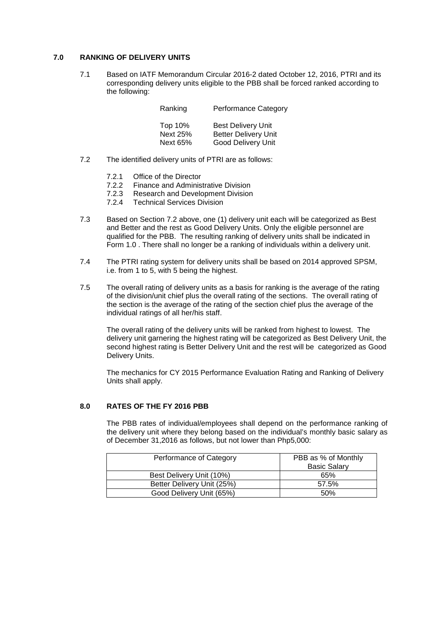## **7.0 RANKING OF DELIVERY UNITS**

7.1 Based on IATF Memorandum Circular 2016-2 dated October 12, 2016, PTRI and its corresponding delivery units eligible to the PBB shall be forced ranked according to the following:

| Ranking                    | Performance Category                                     |
|----------------------------|----------------------------------------------------------|
| Top 10%<br><b>Next 25%</b> | <b>Best Delivery Unit</b><br><b>Better Delivery Unit</b> |
| <b>Next 65%</b>            | Good Delivery Unit                                       |

- 7.2 The identified delivery units of PTRI are as follows:
	- 7.2.1 Office of the Director<br>7.2.2 Finance and Adminis
	- Finance and Administrative Division
	- 7.2.3 Research and Development Division<br>7.2.4 Technical Services Division
	- **Technical Services Division**
- 7.3 Based on Section 7.2 above, one (1) delivery unit each will be categorized as Best and Better and the rest as Good Delivery Units. Only the eligible personnel are qualified for the PBB. The resulting ranking of delivery units shall be indicated in Form 1.0 . There shall no longer be a ranking of individuals within a delivery unit.
- 7.4 The PTRI rating system for delivery units shall be based on 2014 approved SPSM, i.e. from 1 to 5, with 5 being the highest.
- 7.5 The overall rating of delivery units as a basis for ranking is the average of the rating of the division/unit chief plus the overall rating of the sections. The overall rating of the section is the average of the rating of the section chief plus the average of the individual ratings of all her/his staff.

The overall rating of the delivery units will be ranked from highest to lowest. The delivery unit garnering the highest rating will be categorized as Best Delivery Unit, the second highest rating is Better Delivery Unit and the rest will be categorized as Good Delivery Units.

The mechanics for CY 2015 Performance Evaluation Rating and Ranking of Delivery Units shall apply.

#### **8.0 RATES OF THE FY 2016 PBB**

The PBB rates of individual/employees shall depend on the performance ranking of the delivery unit where they belong based on the individual's monthly basic salary as of December 31,2016 as follows, but not lower than Php5,000:

| Performance of Category    | PBB as % of Monthly |  |
|----------------------------|---------------------|--|
|                            | <b>Basic Salary</b> |  |
| Best Delivery Unit (10%)   | 65%                 |  |
| Better Delivery Unit (25%) | 57.5%               |  |
| Good Delivery Unit (65%)   | 50%                 |  |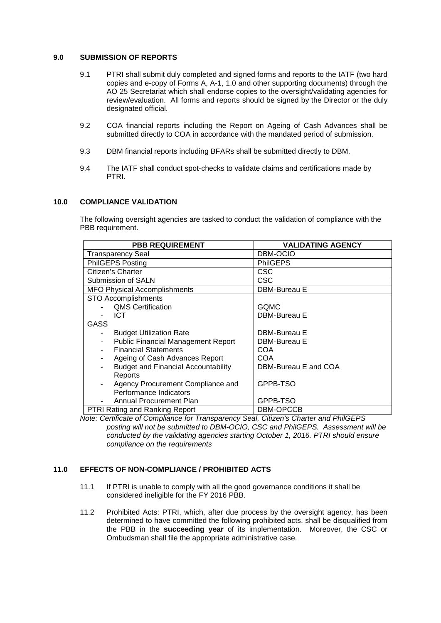## **9.0 SUBMISSION OF REPORTS**

- 9.1 PTRI shall submit duly completed and signed forms and reports to the IATF (two hard copies and e-copy of Forms A, A-1, 1.0 and other supporting documents) through the AO 25 Secretariat which shall endorse copies to the oversight/validating agencies for review/evaluation. All forms and reports should be signed by the Director or the duly designated official.
- 9.2 COA financial reports including the Report on Ageing of Cash Advances shall be submitted directly to COA in accordance with the mandated period of submission.
- 9.3 DBM financial reports including BFARs shall be submitted directly to DBM.
- 9.4 The IATF shall conduct spot-checks to validate claims and certifications made by PTRI.

### **10.0 COMPLIANCE VALIDATION**

The following oversight agencies are tasked to conduct the validation of compliance with the PBB requirement.

| <b>PBB REQUIREMENT</b>                     | <b>VALIDATING AGENCY</b> |
|--------------------------------------------|--------------------------|
| <b>Transparency Seal</b>                   | DBM-OCIO                 |
| PhilGEPS Posting                           | <b>PhilGEPS</b>          |
| Citizen's Charter                          | CSC                      |
| Submission of SALN                         | CSC                      |
| <b>MFO Physical Accomplishments</b>        | DBM-Bureau E             |
| <b>STO Accomplishments</b>                 |                          |
| <b>QMS Certification</b>                   | <b>GQMC</b>              |
| <b>ICT</b>                                 | DBM-Bureau E             |
| GASS                                       |                          |
| <b>Budget Utilization Rate</b>             | DBM-Bureau E             |
| <b>Public Financial Management Report</b>  | DBM-Bureau E             |
| <b>Financial Statements</b>                | COA                      |
| Ageing of Cash Advances Report             | COA                      |
| <b>Budget and Financial Accountability</b> | DBM-Bureau E and COA     |
| Reports                                    |                          |
| Agency Procurement Compliance and          | GPPB-TSO                 |
| Performance Indicators                     |                          |
| Annual Procurement Plan                    | GPPB-TSO                 |
| <b>PTRI Rating and Ranking Report</b>      | DBM-OPCCB                |

*Note: Certificate of Compliance for Transparency Seal, Citizen's Charter and PhilGEPS posting will not be submitted to DBM-OCIO, CSC and PhilGEPS. Assessment will be conducted by the validating agencies starting October 1, 2016. PTRI should ensure compliance on the requirements*

#### **11.0 EFFECTS OF NON-COMPLIANCE / PROHIBITED ACTS**

- 11.1 If PTRI is unable to comply with all the good governance conditions it shall be considered ineligible for the FY 2016 PBB.
- 11.2 Prohibited Acts: PTRI, which, after due process by the oversight agency, has been determined to have committed the following prohibited acts, shall be disqualified from the PBB in the **succeeding year** of its implementation. Moreover, the CSC or Ombudsman shall file the appropriate administrative case.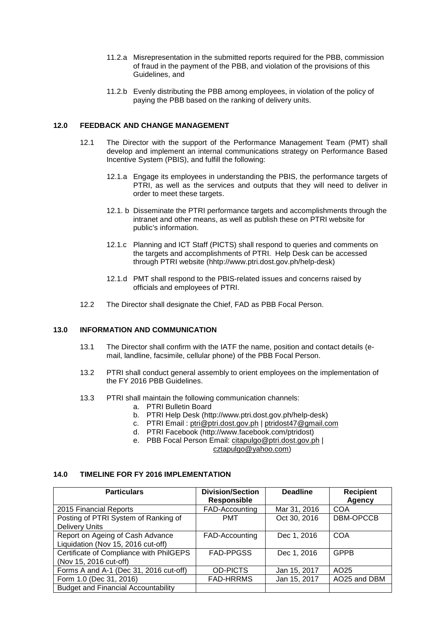- 11.2.a Misrepresentation in the submitted reports required for the PBB, commission of fraud in the payment of the PBB, and violation of the provisions of this Guidelines, and
- 11.2.b Evenly distributing the PBB among employees, in violation of the policy of paying the PBB based on the ranking of delivery units.

#### **12.0 FEEDBACK AND CHANGE MANAGEMENT**

- 12.1 The Director with the support of the Performance Management Team (PMT) shall develop and implement an internal communications strategy on Performance Based Incentive System (PBIS), and fulfill the following:
	- 12.1.a Engage its employees in understanding the PBIS, the performance targets of PTRI, as well as the services and outputs that they will need to deliver in order to meet these targets.
	- 12.1. b Disseminate the PTRI performance targets and accomplishments through the intranet and other means, as well as publish these on PTRI website for public's information.
	- 12.1.c Planning and ICT Staff (PICTS) shall respond to queries and comments on the targets and accomplishments of PTRI. Help Desk can be accessed through PTRI website (hhtp://www.ptri.dost.gov.ph/help-desk)
	- 12.1.d PMT shall respond to the PBIS-related issues and concerns raised by officials and employees of PTRI.
- 12.2 The Director shall designate the Chief, FAD as PBB Focal Person.

## **13.0 INFORMATION AND COMMUNICATION**

- 13.1 The Director shall confirm with the IATF the name, position and contact details (email, landline, facsimile, cellular phone) of the PBB Focal Person.
- 13.2 PTRI shall conduct general assembly to orient employees on the implementation of the FY 2016 PBB Guidelines.
- 13.3 PTRI shall maintain the following communication channels:
	- a. PTRI Bulletin Board
	- b. PTRI Help Desk (http://www.ptri.dost.gov.ph/help-desk)
	- c. PTRI Email : [ptri@ptri.dost.gov.ph](mailto:ptri@ptri.dost.gov.ph) | [ptridost47@gmail.com](mailto:ptridost47@gmail.com)
	- d. PTRI Facebook (http://www.facebook.com/ptridost)
	- e. PBB Focal Person Email: [citapulgo@ptri.dost.gov.ph](mailto:citapulgo@ptri.dost.gov.ph) | [cztapulgo@yahoo.com\)](mailto:cztapulgo@yahoo.com)

# **14.0 TIMELINE FOR FY 2016 IMPLEMENTATION**

| <b>Particulars</b>                         | <b>Division/Section</b> | <b>Deadline</b> | <b>Recipient</b> |
|--------------------------------------------|-------------------------|-----------------|------------------|
|                                            | <b>Responsible</b>      |                 | Agency           |
| 2015 Financial Reports                     | FAD-Accounting          | Mar 31, 2016    | COA              |
| Posting of PTRI System of Ranking of       | <b>PMT</b>              | Oct 30, 2016    | DBM-OPCCB        |
| <b>Delivery Units</b>                      |                         |                 |                  |
| Report on Ageing of Cash Advance           | FAD-Accounting          | Dec 1, 2016     | <b>COA</b>       |
| Liquidation (Nov 15, 2016 cut-off)         |                         |                 |                  |
| Certificate of Compliance with PhilGEPS    | <b>FAD-PPGSS</b>        | Dec 1, 2016     | <b>GPPB</b>      |
| (Nov 15, 2016 cut-off)                     |                         |                 |                  |
| Forms A and A-1 (Dec 31, 2016 cut-off)     | <b>OD-PICTS</b>         | Jan 15, 2017    | AO25             |
| Form 1.0 (Dec 31, 2016)                    | <b>FAD-HRRMS</b>        | Jan 15, 2017    | AO25 and DBM     |
| <b>Budget and Financial Accountability</b> |                         |                 |                  |